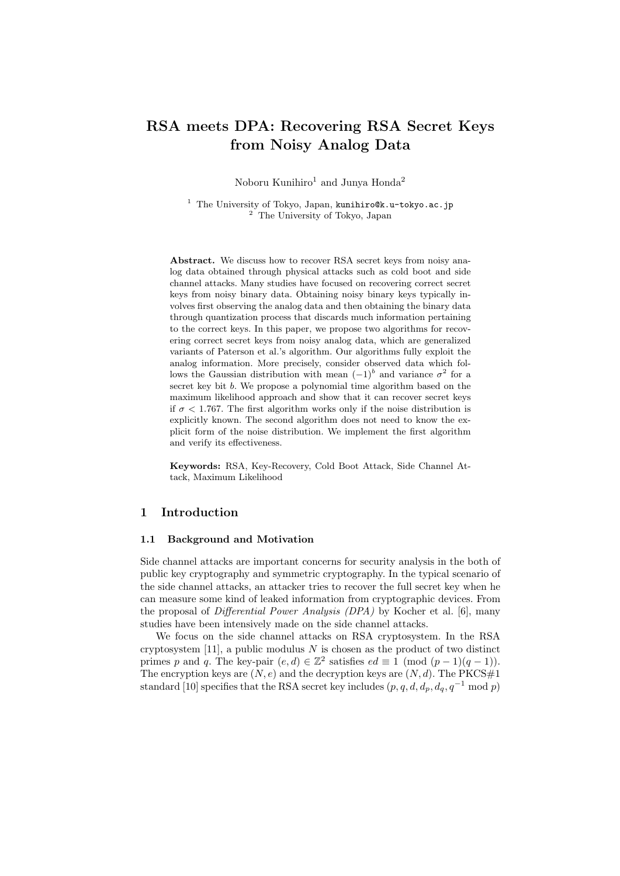# **RSA meets DPA: Recovering RSA Secret Keys from Noisy Analog Data**

Noboru Kunihiro<sup>1</sup> and Junya Honda<sup>2</sup>

<sup>1</sup> The University of Tokyo, Japan, kunihiro@k.u-tokyo.ac.jp <sup>2</sup> The University of Tokyo, Japan

Abstract. We discuss how to recover RSA secret keys from noisy analog data obtained through physical attacks such as cold boot and side channel attacks. Many studies have focused on recovering correct secret keys from noisy binary data. Obtaining noisy binary keys typically involves first observing the analog data and then obtaining the binary data through quantization process that discards much information pertaining to the correct keys. In this paper, we propose two algorithms for recovering correct secret keys from noisy analog data, which are generalized variants of Paterson et al.'s algorithm. Our algorithms fully exploit the analog information. More precisely, consider observed data which follows the Gaussian distribution with mean  $(-1)^b$  and variance  $\sigma^2$  for a secret key bit *b*. We propose a polynomial time algorithm based on the maximum likelihood approach and show that it can recover secret keys if  $\sigma$  < 1.767. The first algorithm works only if the noise distribution is explicitly known. The second algorithm does not need to know the explicit form of the noise distribution. We implement the first algorithm and verify its effectiveness.

**Keywords:** RSA, Key-Recovery, Cold Boot Attack, Side Channel Attack, Maximum Likelihood

### **1 Introduction**

#### **1.1 Background and Motivation**

Side channel attacks are important concerns for security analysis in the both of public key cryptography and symmetric cryptography. In the typical scenario of the side channel attacks, an attacker tries to recover the full secret key when he can measure some kind of leaked information from cryptographic devices. From the proposal of *Differential Power Analysis (DPA)* by Kocher et al. [6], many studies have been intensively made on the side channel attacks.

We focus on the side channel attacks on RSA cryptosystem. In the RSA cryptosystem [11], a public modulus *N* is chosen as the product of two distinct primes *p* and *q*. The key-pair  $(e, d) \in \mathbb{Z}^2$  satisfies  $ed \equiv 1 \pmod{(p-1)(q-1)}$ . The encryption keys are  $(N, e)$  and the decryption keys are  $(N, d)$ . The PKCS#1 standard [10] specifies that the RSA secret key includes  $(p, q, d, d_p, d_q, q^{-1} \mod p)$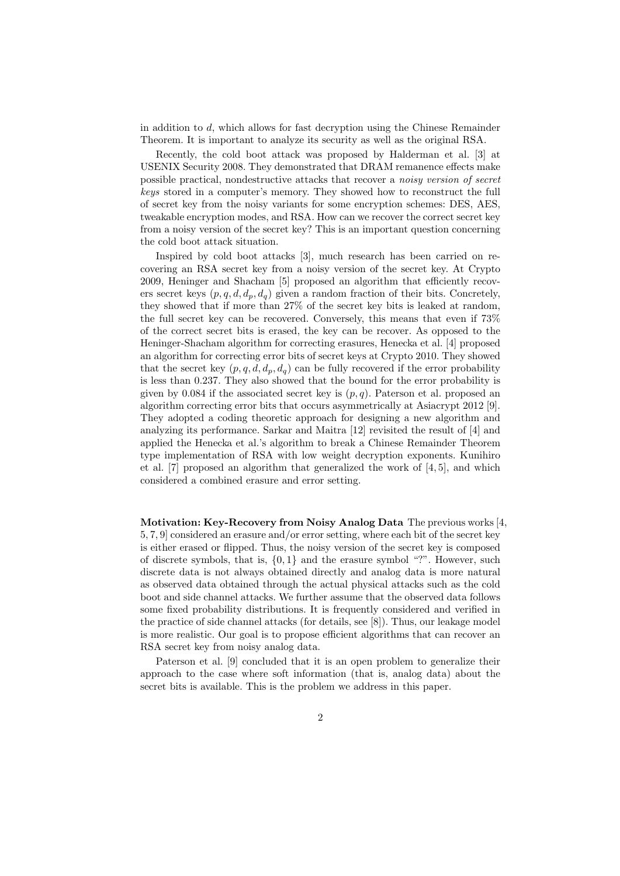in addition to *d*, which allows for fast decryption using the Chinese Remainder Theorem. It is important to analyze its security as well as the original RSA.

Recently, the cold boot attack was proposed by Halderman et al. [3] at USENIX Security 2008. They demonstrated that DRAM remanence effects make possible practical, nondestructive attacks that recover a *noisy version of secret keys* stored in a computer's memory. They showed how to reconstruct the full of secret key from the noisy variants for some encryption schemes: DES, AES, tweakable encryption modes, and RSA. How can we recover the correct secret key from a noisy version of the secret key? This is an important question concerning the cold boot attack situation.

Inspired by cold boot attacks [3], much research has been carried on recovering an RSA secret key from a noisy version of the secret key. At Crypto 2009, Heninger and Shacham [5] proposed an algorithm that efficiently recovers secret keys  $(p, q, d, d_p, d_q)$  given a random fraction of their bits. Concretely, they showed that if more than 27% of the secret key bits is leaked at random, the full secret key can be recovered. Conversely, this means that even if 73% of the correct secret bits is erased, the key can be recover. As opposed to the Heninger-Shacham algorithm for correcting erasures, Henecka et al. [4] proposed an algorithm for correcting error bits of secret keys at Crypto 2010. They showed that the secret key  $(p, q, d, d_p, d_q)$  can be fully recovered if the error probability is less than 0*.*237. They also showed that the bound for the error probability is given by 0.084 if the associated secret key is  $(p, q)$ . Paterson et al. proposed an algorithm correcting error bits that occurs asymmetrically at Asiacrypt 2012 [9]. They adopted a coding theoretic approach for designing a new algorithm and analyzing its performance. Sarkar and Maitra [12] revisited the result of [4] and applied the Henecka et al.'s algorithm to break a Chinese Remainder Theorem type implementation of RSA with low weight decryption exponents. Kunihiro et al. [7] proposed an algorithm that generalized the work of [4, 5], and which considered a combined erasure and error setting.

**Motivation: Key-Recovery from Noisy Analog Data** The previous works [4, 5, 7, 9] considered an erasure and/or error setting, where each bit of the secret key is either erased or flipped. Thus, the noisy version of the secret key is composed of discrete symbols, that is, *{*0*,* 1*}* and the erasure symbol "?". However, such discrete data is not always obtained directly and analog data is more natural as observed data obtained through the actual physical attacks such as the cold boot and side channel attacks. We further assume that the observed data follows some fixed probability distributions. It is frequently considered and verified in the practice of side channel attacks (for details, see [8]). Thus, our leakage model is more realistic. Our goal is to propose efficient algorithms that can recover an RSA secret key from noisy analog data.

Paterson et al. [9] concluded that it is an open problem to generalize their approach to the case where soft information (that is, analog data) about the secret bits is available. This is the problem we address in this paper.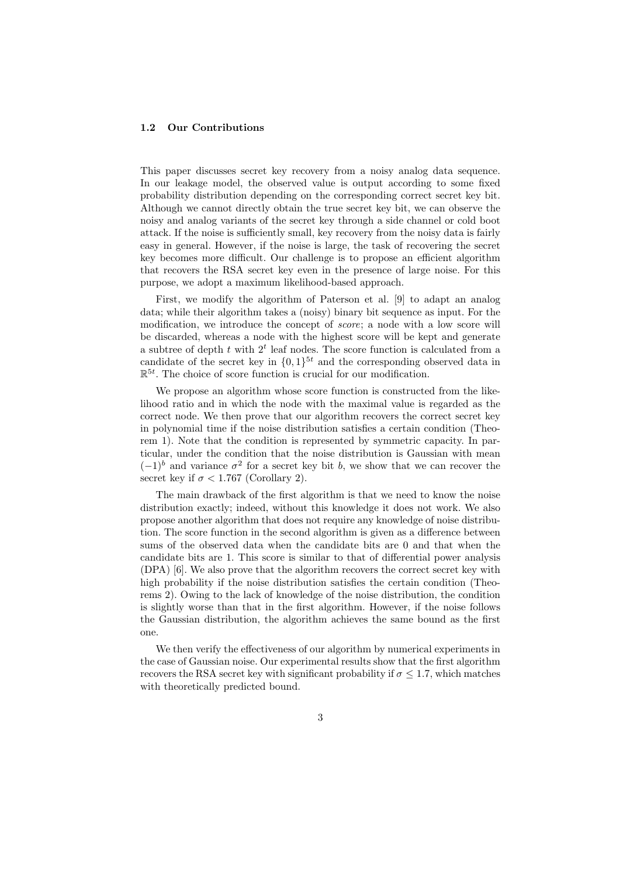#### **1.2 Our Contributions**

This paper discusses secret key recovery from a noisy analog data sequence. In our leakage model, the observed value is output according to some fixed probability distribution depending on the corresponding correct secret key bit. Although we cannot directly obtain the true secret key bit, we can observe the noisy and analog variants of the secret key through a side channel or cold boot attack. If the noise is sufficiently small, key recovery from the noisy data is fairly easy in general. However, if the noise is large, the task of recovering the secret key becomes more difficult. Our challenge is to propose an efficient algorithm that recovers the RSA secret key even in the presence of large noise. For this purpose, we adopt a maximum likelihood-based approach.

First, we modify the algorithm of Paterson et al. [9] to adapt an analog data; while their algorithm takes a (noisy) binary bit sequence as input. For the modification, we introduce the concept of *score*; a node with a low score will be discarded, whereas a node with the highest score will be kept and generate a subtree of depth *t* with 2*<sup>t</sup>* leaf nodes. The score function is calculated from a candidate of the secret key in  $\{0,1\}^{5t}$  and the corresponding observed data in  $\mathbb{R}^{5t}$ . The choice of score function is crucial for our modification.

We propose an algorithm whose score function is constructed from the likelihood ratio and in which the node with the maximal value is regarded as the correct node. We then prove that our algorithm recovers the correct secret key in polynomial time if the noise distribution satisfies a certain condition (Theorem 1). Note that the condition is represented by symmetric capacity. In particular, under the condition that the noise distribution is Gaussian with mean  $(-1)^b$  and variance  $\sigma^2$  for a secret key bit *b*, we show that we can recover the secret key if  $\sigma$  < 1.767 (Corollary 2).

The main drawback of the first algorithm is that we need to know the noise distribution exactly; indeed, without this knowledge it does not work. We also propose another algorithm that does not require any knowledge of noise distribution. The score function in the second algorithm is given as a difference between sums of the observed data when the candidate bits are 0 and that when the candidate bits are 1. This score is similar to that of differential power analysis (DPA) [6]. We also prove that the algorithm recovers the correct secret key with high probability if the noise distribution satisfies the certain condition (Theorems 2). Owing to the lack of knowledge of the noise distribution, the condition is slightly worse than that in the first algorithm. However, if the noise follows the Gaussian distribution, the algorithm achieves the same bound as the first one.

We then verify the effectiveness of our algorithm by numerical experiments in the case of Gaussian noise. Our experimental results show that the first algorithm recovers the RSA secret key with significant probability if  $\sigma \leq 1.7$ , which matches with theoretically predicted bound.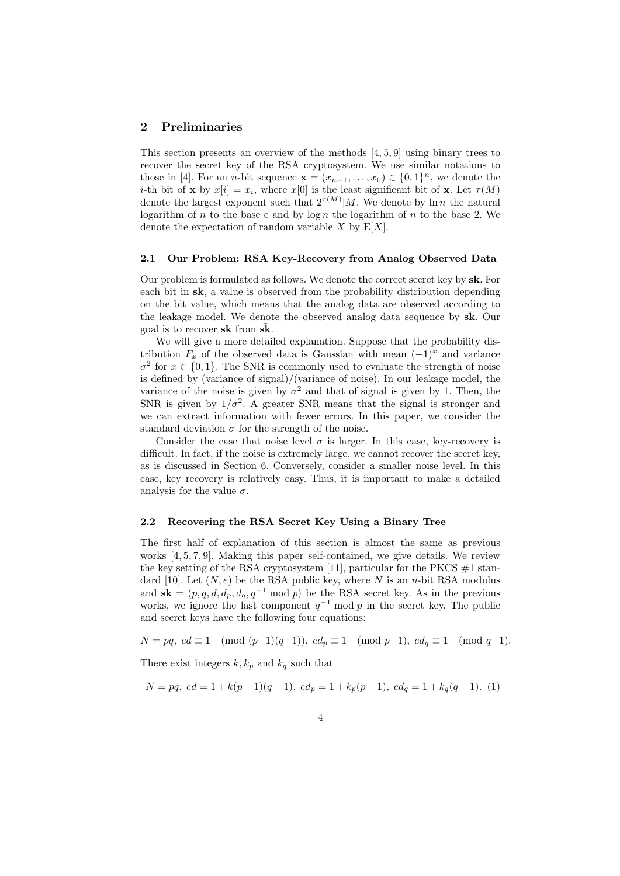### **2 Preliminaries**

This section presents an overview of the methods [4, 5, 9] using binary trees to recover the secret key of the RSA cryptosystem. We use similar notations to those in [4]. For an *n*-bit sequence  $\mathbf{x} = (x_{n-1}, \ldots, x_0) \in \{0,1\}^n$ , we denote the *i*-th bit of **x** by  $x[i] = x_i$ , where  $x[0]$  is the least significant bit of **x**. Let  $\tau(M)$ denote the largest exponent such that  $2^{\tau(M)}|M$ . We denote by  $\ln n$  the natural logarithm of *n* to the base e and by log *n* the logarithm of *n* to the base 2. We denote the expectation of random variable *X* by E[*X*].

#### **2.1 Our Problem: RSA Key-Recovery from Analog Observed Data**

Our problem is formulated as follows. We denote the correct secret key by **sk**. For each bit in **sk**, a value is observed from the probability distribution depending on the bit value, which means that the analog data are observed according to the leakage model. We denote the observed analog data sequence by  $s\bar{k}$ . Our  $\chi$  goal is to recover  $s\mathbf{k}$  from  $s\mathbf{k}$ .

We will give a more detailed explanation. Suppose that the probability distribution  $F_x$  of the observed data is Gaussian with mean  $(-1)^x$  and variance  $\sigma^2$  for  $x \in \{0,1\}$ . The SNR is commonly used to evaluate the strength of noise is defined by (variance of signal)/(variance of noise). In our leakage model, the variance of the noise is given by  $\sigma^2$  and that of signal is given by 1. Then, the SNR is given by  $1/\sigma^2$ . A greater SNR means that the signal is stronger and we can extract information with fewer errors. In this paper, we consider the standard deviation  $\sigma$  for the strength of the noise.

Consider the case that noise level  $\sigma$  is larger. In this case, key-recovery is difficult. In fact, if the noise is extremely large, we cannot recover the secret key, as is discussed in Section 6. Conversely, consider a smaller noise level. In this case, key recovery is relatively easy. Thus, it is important to make a detailed analysis for the value  $\sigma$ .

#### **2.2 Recovering the RSA Secret Key Using a Binary Tree**

The first half of explanation of this section is almost the same as previous works [4, 5, 7, 9]. Making this paper self-contained, we give details. We review the key setting of the RSA cryptosystem [11], particular for the PKCS  $\#1$  standard [10]. Let  $(N, e)$  be the RSA public key, where N is an *n*-bit RSA modulus and  $s\mathbf{k} = (p, q, d, d_p, d_q, q^{-1} \mod p)$  be the RSA secret key. As in the previous works, we ignore the last component  $q^{-1}$  mod p in the secret key. The public and secret keys have the following four equations:

*N* = *pq, ed* ≡ 1 (mod  $(p-1)(q-1)$ )*, ed<sub>p</sub>* ≡ 1 (mod *p*−1)*, ed<sub>q</sub>* ≡ 1 (mod *q*−1)*.* 

There exist integers  $k, k_p$  and  $k_q$  such that

$$
N = pq, \ ed = 1 + k(p-1)(q-1), \ ed_p = 1 + k_p(p-1), \ ed_q = 1 + k_q(q-1).
$$
 (1)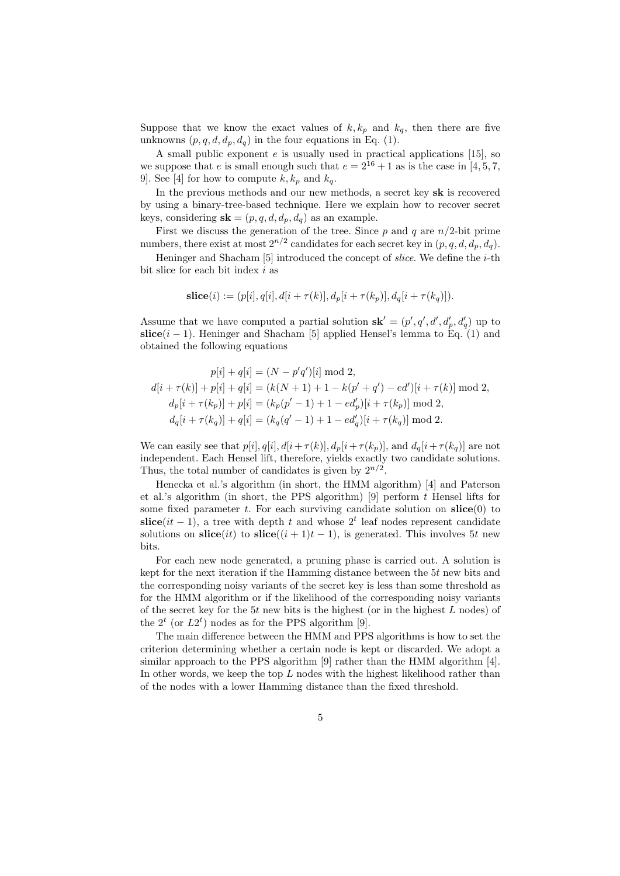Suppose that we know the exact values of  $k, k_p$  and  $k_q$ , then there are five unknowns  $(p, q, d, d_p, d_q)$  in the four equations in Eq. (1).

A small public exponent *e* is usually used in practical applications [15], so we suppose that *e* is small enough such that  $e = 2^{16} + 1$  as is the case in [4, 5, 7, 9. See [4] for how to compute  $k, k_p$  and  $k_q$ .

In the previous methods and our new methods, a secret key **sk** is recovered by using a binary-tree-based technique. Here we explain how to recover secret keys, considering  $s\mathbf{k} = (p, q, d, d_p, d_q)$  as an example.

First we discuss the generation of the tree. Since  $p$  and  $q$  are  $n/2$ -bit prime numbers, there exist at most  $2^{n/2}$  candidates for each secret key in  $(p, q, d, d_p, d_q)$ .

Heninger and Shacham [5] introduced the concept of *slice*. We define the *i*-th bit slice for each bit index *i* as

$$
slice(i) := (p[i], q[i], d[i + \tau(k)], d_p[i + \tau(k_p)], d_q[i + \tau(k_q)]).
$$

Assume that we have computed a partial solution  $\mathbf{sk}' = (p', q', d', d'_p, d'_q)$  up to slice $(i - 1)$ . Heninger and Shacham [5] applied Hensel's lemma to Eq. (1) and obtained the following equations

$$
p[i] + q[i] = (N - p'q')[i] \bmod 2,
$$
  
\n
$$
d[i + \tau(k)] + p[i] + q[i] = (k(N + 1) + 1 - k(p' + q') - ed')[i + \tau(k)] \bmod 2,
$$
  
\n
$$
d_p[i + \tau(k_p)] + p[i] = (k_p(p' - 1) + 1 - ed'_p)[i + \tau(k_p)] \bmod 2,
$$
  
\n
$$
d_q[i + \tau(k_q)] + q[i] = (k_q(q' - 1) + 1 - ed'_q)[i + \tau(k_q)] \bmod 2.
$$

We can easily see that  $p[i], q[i], d[i+\tau(k)], d_p[i+\tau(k_p)],$  and  $d_q[i+\tau(k_q)]$  are not independent. Each Hensel lift, therefore, yields exactly two candidate solutions. Thus, the total number of candidates is given by  $2^{n/2}$ .

Henecka et al.'s algorithm (in short, the HMM algorithm) [4] and Paterson et al.'s algorithm (in short, the PPS algorithm) [9] perform *t* Hensel lifts for some fixed parameter *t*. For each surviving candidate solution on **slice**(0) to slice $(it - 1)$ , a tree with depth *t* and whose  $2<sup>t</sup>$  leaf nodes represent candidate solutions on  $\textbf{slice}(it)$  to  $\textbf{slice}((i + 1)t - 1)$ , is generated. This involves 5*t* new bits.

For each new node generated, a pruning phase is carried out. A solution is kept for the next iteration if the Hamming distance between the 5*t* new bits and the corresponding noisy variants of the secret key is less than some threshold as for the HMM algorithm or if the likelihood of the corresponding noisy variants of the secret key for the 5*t* new bits is the highest (or in the highest *L* nodes) of the  $2^t$  (or  $L2^t$ ) nodes as for the PPS algorithm [9].

The main difference between the HMM and PPS algorithms is how to set the criterion determining whether a certain node is kept or discarded. We adopt a similar approach to the PPS algorithm [9] rather than the HMM algorithm [4]. In other words, we keep the top *L* nodes with the highest likelihood rather than of the nodes with a lower Hamming distance than the fixed threshold.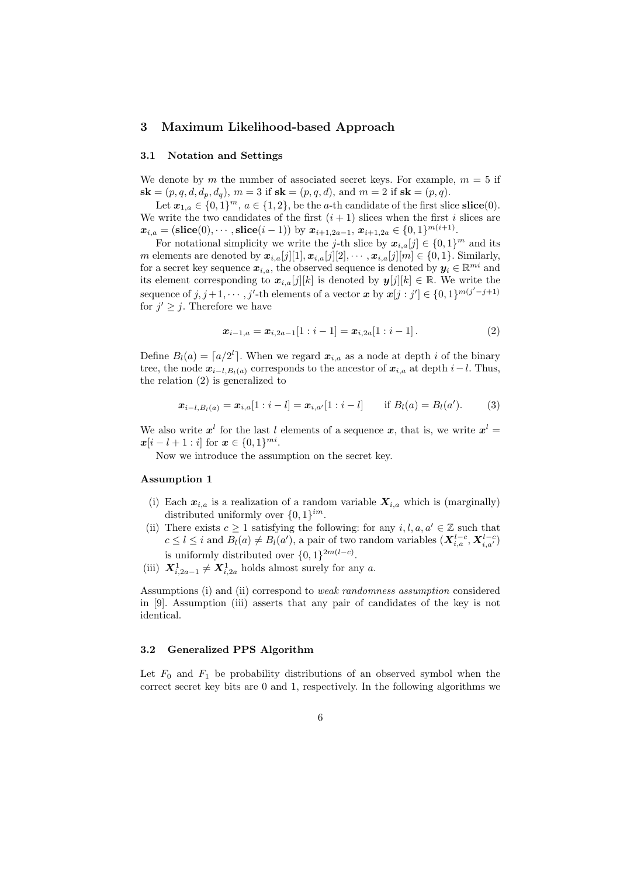### **3 Maximum Likelihood-based Approach**

#### **3.1 Notation and Settings**

We denote by *m* the number of associated secret keys. For example,  $m = 5$  if  $s\mathbf{k} = (p, q, d, d_p, d_q), m = 3$  if  $s\mathbf{k} = (p, q, d)$ , and  $m = 2$  if  $s\mathbf{k} = (p, q)$ .

Let  $x_{1,a} \in \{0,1\}^m$ ,  $a \in \{1,2\}$ , be the *a*-th candidate of the first slice **slice**(0). We write the two candidates of the first  $(i + 1)$  slices when the first *i* slices are  $\boldsymbol{x}_{i,a} = (\textbf{slice}(0), \cdots, \textbf{slice}(i-1))$  by  $\boldsymbol{x}_{i+1,2a-1}, \, \boldsymbol{x}_{i+1,2a} \in \{0,1\}^{m(i+1)}$ .

For notational simplicity we write the *j*-th slice by  $x_{i,a}[j] \in \{0,1\}^m$  and its *m* elements are denoted by  $\mathbf{x}_{i,a}[j][1], \mathbf{x}_{i,a}[j][2], \cdots, \mathbf{x}_{i,a}[j][m] \in \{0,1\}$ . Similarly, for a secret key sequence  $x_{i,a}$ , the observed sequence is denoted by  $y_i \in \mathbb{R}^{mi}$  and its element corresponding to  $x_{i,a}[j][k]$  is denoted by  $y[j][k] \in \mathbb{R}$ . We write the sequence of  $j, j+1, \dots, j'$ -th elements of a vector  $x$  by  $x[j:j'] \in \{0,1\}^{m(j'-j+1)}$ for  $j' \geq j$ . Therefore we have

$$
x_{i-1,a} = x_{i,2a-1}[1:i-1] = x_{i,2a}[1:i-1]. \tag{2}
$$

Define  $B_l(a) = \lceil a/2^l \rceil$ . When we regard  $x_{i,a}$  as a node at depth *i* of the binary tree, the node  $x_{i-l,B_l(a)}$  corresponds to the ancestor of  $x_{i,a}$  at depth  $i-l$ . Thus, the relation (2) is generalized to

$$
\boldsymbol{x}_{i-l,B_l(a)} = \boldsymbol{x}_{i,a}[1:i-l] = \boldsymbol{x}_{i,a'}[1:i-l] \quad \text{if } B_l(a) = B_l(a'). \quad (3)
$$

We also write  $x^l$  for the last *l* elements of a sequence x, that is, we write  $x^l =$  $x[i - l + 1 : i]$  for  $x \in \{0, 1\}^{mi}$ .

Now we introduce the assumption on the secret key.

#### **Assumption 1**

- (i) Each  $x_{i,a}$  is a realization of a random variable  $X_{i,a}$  which is (marginally) distributed uniformly over  $\{0, 1\}^{im}$ .
- (ii) There exists  $c \geq 1$  satisfying the following: for any  $i, l, a, a' \in \mathbb{Z}$  such that  $c \leq l \leq i$  and  $B_l(a) \neq B_l(a')$ , a pair of two random variables  $(\mathbf{X}_{i,a}^{l-c}, \mathbf{X}_{i,a'}^{l-c})$ is uniformly distributed over  $\{0, 1\}^{2m(l-c)}$ .
- (iii)  $X_{i,2a-1}^1 \neq X_{i,2a}^1$  holds almost surely for any *a*.

Assumptions (i) and (ii) correspond to *weak randomness assumption* considered in [9]. Assumption (iii) asserts that any pair of candidates of the key is not identical.

#### **3.2 Generalized PPS Algorithm**

Let  $F_0$  and  $F_1$  be probability distributions of an observed symbol when the correct secret key bits are 0 and 1, respectively. In the following algorithms we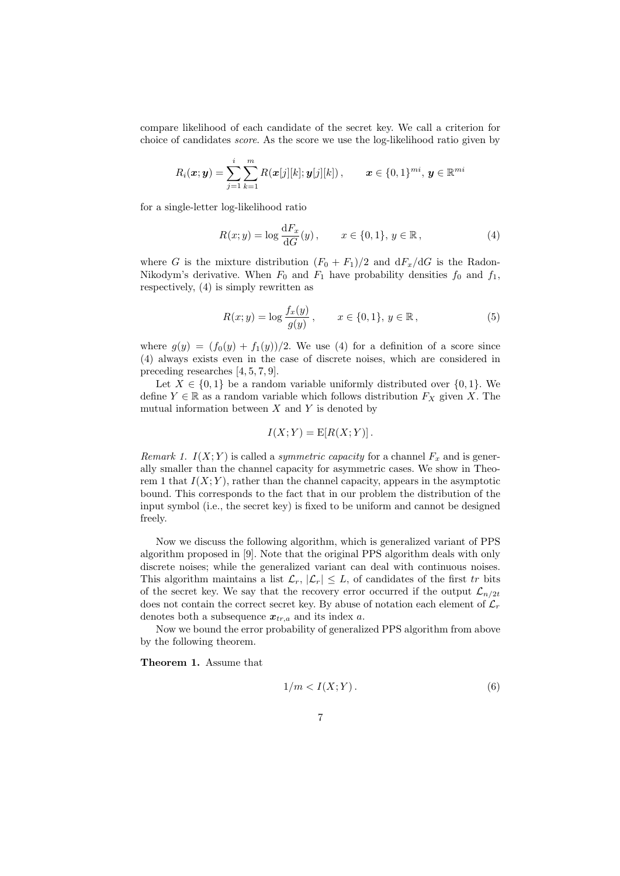compare likelihood of each candidate of the secret key. We call a criterion for choice of candidates *score*. As the score we use the log-likelihood ratio given by

$$
R_i(\boldsymbol{x}; \boldsymbol{y}) = \sum_{j=1}^i \sum_{k=1}^m R(\boldsymbol{x}[j][k]; \boldsymbol{y}[j][k]), \qquad \boldsymbol{x} \in \{0, 1\}^{mi}, \boldsymbol{y} \in \mathbb{R}^{mi}
$$

for a single-letter log-likelihood ratio

$$
R(x; y) = \log \frac{dF_x}{dG}(y), \qquad x \in \{0, 1\}, y \in \mathbb{R},
$$
 (4)

where *G* is the mixture distribution  $(F_0 + F_1)/2$  and  $dF_x/dG$  is the Radon-Nikodym's derivative. When  $F_0$  and  $F_1$  have probability densities  $f_0$  and  $f_1$ , respectively, (4) is simply rewritten as

$$
R(x; y) = \log \frac{f_x(y)}{g(y)}, \qquad x \in \{0, 1\}, \ y \in \mathbb{R},
$$
 (5)

where  $g(y) = (f_0(y) + f_1(y))/2$ . We use (4) for a definition of a score since (4) always exists even in the case of discrete noises, which are considered in preceding researches [4, 5, 7, 9].

Let  $X \in \{0,1\}$  be a random variable uniformly distributed over  $\{0,1\}$ . We define  $Y \in \mathbb{R}$  as a random variable which follows distribution  $F_X$  given X. The mutual information between *X* and *Y* is denoted by

$$
I(X;Y) = \mathbb{E}[R(X;Y)].
$$

*Remark 1.*  $I(X; Y)$  is called a *symmetric capacity* for a channel  $F_x$  and is generally smaller than the channel capacity for asymmetric cases. We show in Theorem 1 that  $I(X; Y)$ , rather than the channel capacity, appears in the asymptotic bound. This corresponds to the fact that in our problem the distribution of the input symbol (i.e., the secret key) is fixed to be uniform and cannot be designed freely.

Now we discuss the following algorithm, which is generalized variant of PPS algorithm proposed in [9]. Note that the original PPS algorithm deals with only discrete noises; while the generalized variant can deal with continuous noises. This algorithm maintains a list  $\mathcal{L}_r$ ,  $|\mathcal{L}_r| \leq L$ , of candidates of the first *tr* bits of the secret key. We say that the recovery error occurred if the output  $\mathcal{L}_{n/2t}$ does not contain the correct secret key. By abuse of notation each element of  $\mathcal{L}_r$ denotes both a subsequence *xtr,a* and its index *a*.

Now we bound the error probability of generalized PPS algorithm from above by the following theorem.

**Theorem 1.** Assume that

$$
1/m < I(X;Y).
$$
\n<sup>(6)</sup>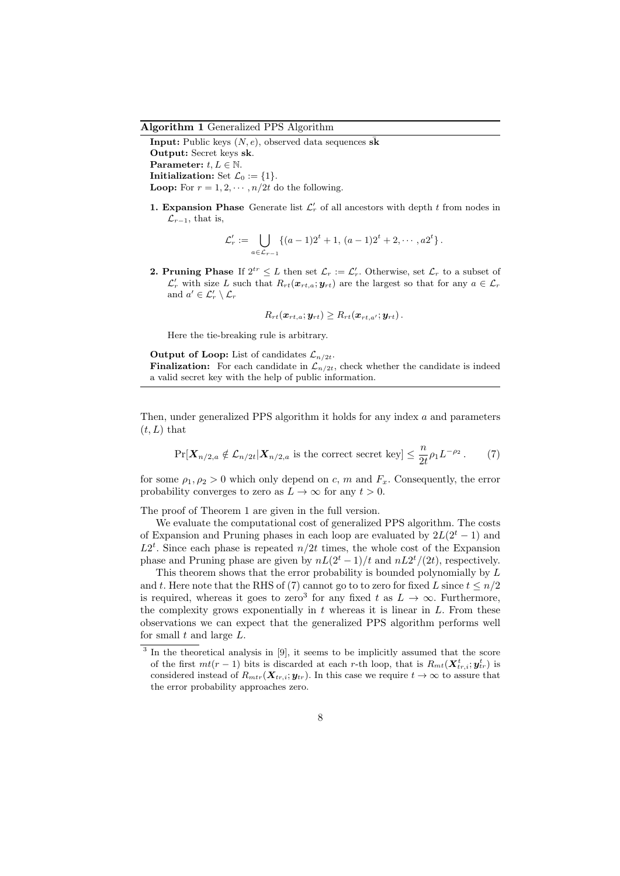**Algorithm 1** Generalized PPS Algorithm

**Input:** Public keys  $(N, e)$ , observed data sequences  $\bar{\mathbf{s}}$ **k Output:** Secret keys **sk**. **Parameter:**  $t, L \in \mathbb{N}$ . **Initialization:** Set  $\mathcal{L}_0 := \{1\}$ . **Loop:** For  $r = 1, 2, \cdots, n/2t$  do the following.

**1. Expansion Phase** Generate list  $\mathcal{L}'_r$  of all ancestors with depth *t* from nodes in  $\mathcal{L}_{r-1}$ , that is,

$$
\mathcal{L}'_r := \bigcup_{a \in \mathcal{L}_{r-1}} \{ (a-1)2^t + 1, (a-1)2^t + 2, \cdots, a2^t \}.
$$

**2. Pruning Phase** If  $2^{tr} \leq L$  then set  $\mathcal{L}_r := \mathcal{L}'_r$ . Otherwise, set  $\mathcal{L}_r$  to a subset of  $\mathcal{L}'_r$  with size *L* such that  $R_{rt}(\boldsymbol{x}_{rt,a}; \boldsymbol{y}_{rt})$  are the largest so that for any  $a \in \mathcal{L}_r$ and  $a' \in \mathcal{L}'_r \setminus \mathcal{L}_r$ 

 $R_{rt}(\mathbf{x}_{rt,a}; \mathbf{y}_{rt}) > R_{rt}(\mathbf{x}_{rt,a'}; \mathbf{y}_{rt})$ .

Here the tie-breaking rule is arbitrary.

**Output of Loop:** List of candidates  $\mathcal{L}_{n/2t}$ . **Finalization:** For each candidate in  $\mathcal{L}_{n/2t}$ , check whether the candidate is indeed a valid secret key with the help of public information.

Then, under generalized PPS algorithm it holds for any index *a* and parameters  $(t, L)$  that

$$
\Pr[\mathbf{X}_{n/2,a} \notin \mathcal{L}_{n/2t} | \mathbf{X}_{n/2,a} \text{ is the correct secret key}] \leq \frac{n}{2t} \rho_1 L^{-\rho_2}.
$$
 (7)

for some  $\rho_1, \rho_2 > 0$  which only depend on *c*, *m* and  $F_x$ . Consequently, the error probability converges to zero as  $L \to \infty$  for any  $t > 0$ .

The proof of Theorem 1 are given in the full version.

We evaluate the computational cost of generalized PPS algorithm. The costs of Expansion and Pruning phases in each loop are evaluated by  $2L(2^t - 1)$  and  $L2^t$ . Since each phase is repeated  $n/2t$  times, the whole cost of the Expansion phase and Pruning phase are given by  $nL(2^t - 1)/t$  and  $nL(2^t/2t)$ , respectively.

This theorem shows that the error probability is bounded polynomially by *L* and *t*. Here note that the RHS of (7) cannot go to to zero for fixed *L* since  $t \leq n/2$ is required, whereas it goes to zero<sup>3</sup> for any fixed  $t$  as  $L \to \infty$ . Furthermore, the complexity grows exponentially in *t* whereas it is linear in *L*. From these observations we can expect that the generalized PPS algorithm performs well for small *t* and large *L*.

<sup>&</sup>lt;sup>3</sup> In the theoretical analysis in [9], it seems to be implicitly assumed that the score of the first  $mt(r-1)$  bits is discarded at each *r*-th loop, that is  $R_{mt}(\mathbf{X}_{tr,i}^t; \mathbf{y}_{tr}^t)$  is considered instead of  $R_{mtr}(\mathbf{X}_{tr,i}; \mathbf{y}_{tr})$ . In this case we require  $t \to \infty$  to assure that the error probability approaches zero.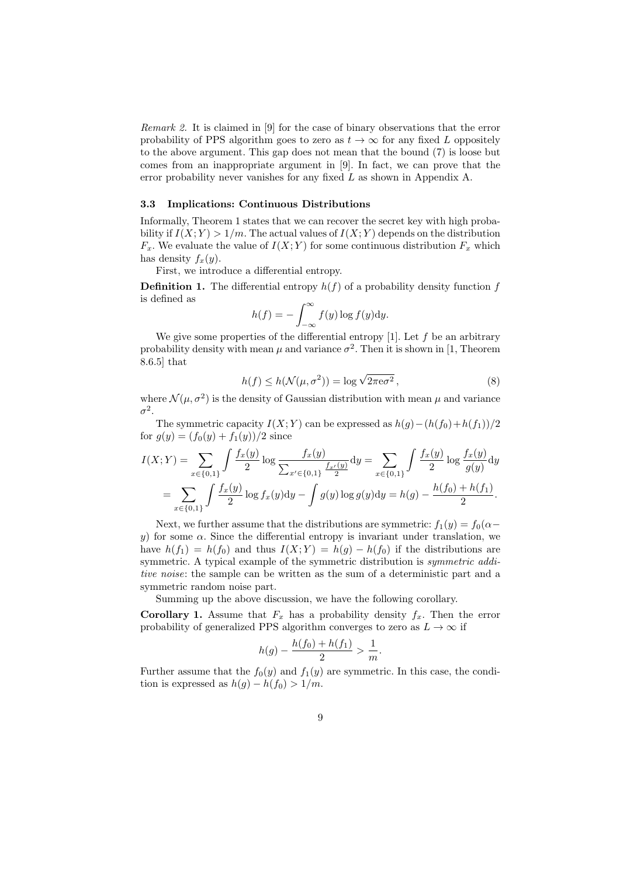*Remark 2.* It is claimed in [9] for the case of binary observations that the error probability of PPS algorithm goes to zero as  $t \to \infty$  for any fixed L oppositely to the above argument. This gap does not mean that the bound (7) is loose but comes from an inappropriate argument in [9]. In fact, we can prove that the error probability never vanishes for any fixed *L* as shown in Appendix A.

#### **3.3 Implications: Continuous Distributions**

Informally, Theorem 1 states that we can recover the secret key with high probability if  $I(X; Y) > 1/m$ . The actual values of  $I(X; Y)$  depends on the distribution  $F_x$ . We evaluate the value of  $I(X; Y)$  for some continuous distribution  $F_x$  which has density  $f_x(y)$ .

First, we introduce a differential entropy.

**Definition 1.** The differential entropy  $h(f)$  of a probability density function f is defined as

$$
h(f) = -\int_{-\infty}^{\infty} f(y) \log f(y) \mathrm{d}y.
$$

We give some properties of the differential entropy [1]. Let *f* be an arbitrary probability density with mean  $\mu$  and variance  $\sigma^2$ . Then it is shown in [1, Theorem 8.6.5] that

$$
h(f) \le h(\mathcal{N}(\mu, \sigma^2)) = \log \sqrt{2\pi e \sigma^2},
$$
\n(8)

where  $\mathcal{N}(\mu, \sigma^2)$  is the density of Gaussian distribution with mean  $\mu$  and variance *σ* 2 .

The symmetric capacity  $I(X; Y)$  can be expressed as  $h(g) - (h(f_0) + h(f_1))/2$ for  $g(y) = (f_0(y) + f_1(y))/2$  since

$$
I(X;Y) = \sum_{x \in \{0,1\}} \int \frac{f_x(y)}{2} \log \frac{f_x(y)}{\sum_{x' \in \{0,1\}} \frac{f_{x'}(y)}{2}} dy = \sum_{x \in \{0,1\}} \int \frac{f_x(y)}{2} \log \frac{f_x(y)}{g(y)} dy
$$
  
= 
$$
\sum_{x \in \{0,1\}} \int \frac{f_x(y)}{2} \log f_x(y) dy - \int g(y) \log g(y) dy = h(g) - \frac{h(f_0) + h(f_1)}{2}.
$$

Next, we further assume that the distributions are symmetric:  $f_1(y) = f_0(\alpha$ *y*) for some  $\alpha$ . Since the differential entropy is invariant under translation, we have  $h(f_1) = h(f_0)$  and thus  $I(X; Y) = h(g) - h(f_0)$  if the distributions are symmetric. A typical example of the symmetric distribution is *symmetric additive noise*: the sample can be written as the sum of a deterministic part and a symmetric random noise part.

Summing up the above discussion, we have the following corollary.

**Corollary 1.** Assume that  $F_x$  has a probability density  $f_x$ . Then the error probability of generalized PPS algorithm converges to zero as  $L \to \infty$  if

$$
h(g) - \frac{h(f_0) + h(f_1)}{2} > \frac{1}{m}.
$$

Further assume that the  $f_0(y)$  and  $f_1(y)$  are symmetric. In this case, the condition is expressed as  $h(g) - h(f_0) > 1/m$ .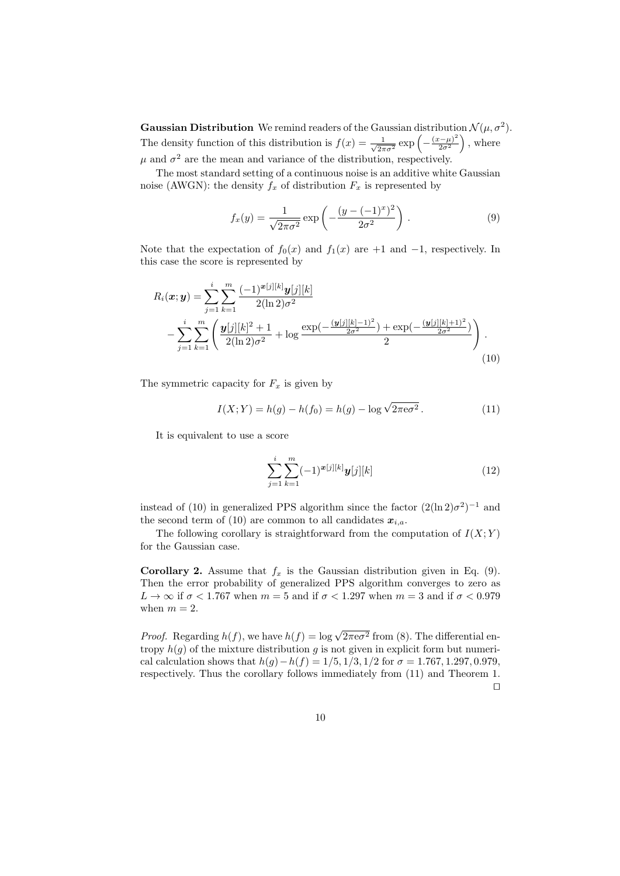**Gaussian Distribution** We remind readers of the Gaussian distribution  $\mathcal{N}(\mu, \sigma^2)$ . The density function of this distribution is  $f(x) = \frac{1}{\sqrt{2}}$  $\frac{1}{2\pi\sigma^2}$  exp  $\left(-\frac{(x-\mu)^2}{2\sigma^2}\right)$  $2\sigma^2$ ) *,* where  $\mu$  and  $\sigma^2$  are the mean and variance of the distribution, respectively.

The most standard setting of a continuous noise is an additive white Gaussian noise (AWGN): the density  $f_x$  of distribution  $F_x$  is represented by

$$
f_x(y) = \frac{1}{\sqrt{2\pi\sigma^2}} \exp\left(-\frac{(y - (-1)^x)^2}{2\sigma^2}\right). \tag{9}
$$

Note that the expectation of  $f_0(x)$  and  $f_1(x)$  are +1 and -1, respectively. In this case the score is represented by

$$
R_i(\boldsymbol{x}; \boldsymbol{y}) = \sum_{j=1}^i \sum_{k=1}^m \frac{(-1)^{\boldsymbol{x}[j][k]} \boldsymbol{y}[j][k]}{2(\ln 2)\sigma^2} - \sum_{j=1}^i \sum_{k=1}^m \left( \frac{\boldsymbol{y}[j][k]^2 + 1}{2(\ln 2)\sigma^2} + \log \frac{\exp(-\frac{(\boldsymbol{y}[j][k]-1)^2}{2\sigma^2}) + \exp(-\frac{(\boldsymbol{y}[j][k]+1)^2}{2\sigma^2})}{2} \right) .
$$
\n(10)

The symmetric capacity for  $F_x$  is given by

$$
I(X;Y) = h(g) - h(f_0) = h(g) - \log \sqrt{2\pi e \sigma^2}.
$$
 (11)

It is equivalent to use a score

$$
\sum_{j=1}^{i} \sum_{k=1}^{m} (-1)^{\mathbf{x}[j][k]} \mathbf{y}[j][k] \tag{12}
$$

instead of (10) in generalized PPS algorithm since the factor  $(2(\ln 2)\sigma^2)^{-1}$  and the second term of (10) are common to all candidates  $x_{i,a}$ .

The following corollary is straightforward from the computation of  $I(X; Y)$ for the Gaussian case.

**Corollary 2.** Assume that  $f_x$  is the Gaussian distribution given in Eq. (9). Then the error probability of generalized PPS algorithm converges to zero as  $L \rightarrow \infty$  if  $\sigma < 1.767$  when  $m = 5$  and if  $\sigma < 1.297$  when  $m = 3$  and if  $\sigma < 0.979$ when  $m = 2$ .

*Proof.* Regarding  $h(f)$ , we have  $h(f) = \log \sqrt{2\pi e \sigma^2}$  from (8). The differential entropy  $h(g)$  of the mixture distribution  $g$  is not given in explicit form but numerical calculation shows that  $h(g) - h(f) = 1/5, 1/3, 1/2$  for  $\sigma = 1.767, 1.297, 0.979$ , respectively. Thus the corollary follows immediately from (11) and Theorem 1. *⊓⊔*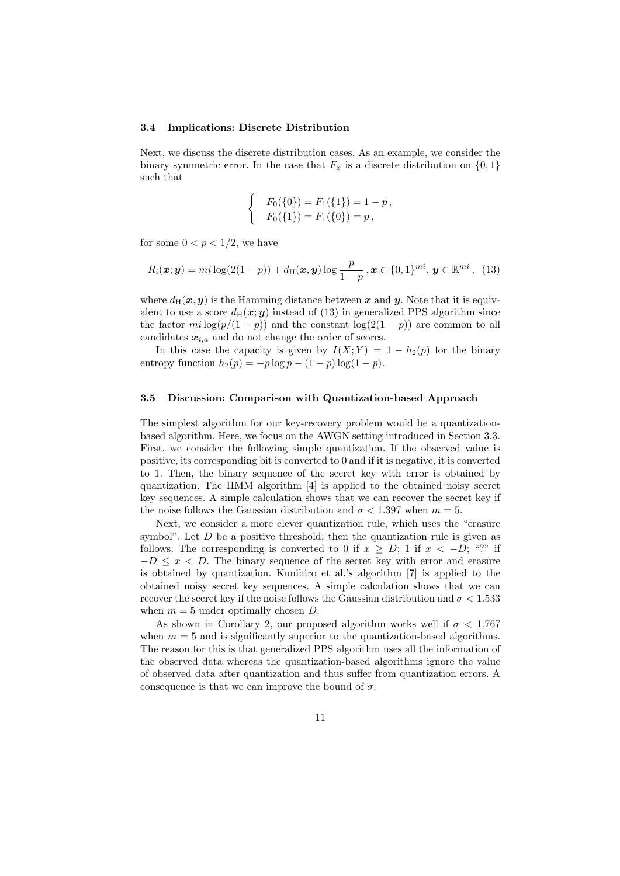#### **3.4 Implications: Discrete Distribution**

Next, we discuss the discrete distribution cases. As an example, we consider the binary symmetric error. In the case that  $F_x$  is a discrete distribution on  $\{0,1\}$ such that

$$
\begin{cases}\nF_0(\{0\}) = F_1(\{1\}) = 1 - p, \\
F_0(\{1\}) = F_1(\{0\}) = p,\n\end{cases}
$$

for some  $0 < p < 1/2$ , we have

$$
R_i(\boldsymbol{x}; \boldsymbol{y}) = mi \log(2(1-p)) + d_{\mathrm{H}}(\boldsymbol{x}, \boldsymbol{y}) \log \frac{p}{1-p}, \boldsymbol{x} \in \{0, 1\}^{mi}, \boldsymbol{y} \in \mathbb{R}^{mi}, \tag{13}
$$

where  $d_H(x, y)$  is the Hamming distance between x and y. Note that it is equivalent to use a score  $d_H(x, y)$  instead of (13) in generalized PPS algorithm since the factor  $mi \log(p/(1-p))$  and the constant  $\log(2(1-p))$  are common to all candidates  $x_{i,a}$  and do not change the order of scores.

In this case the capacity is given by  $I(X; Y) = 1 - h_2(p)$  for the binary entropy function  $h_2(p) = -p \log p - (1 - p) \log(1 - p)$ .

#### **3.5 Discussion: Comparison with Quantization-based Approach**

The simplest algorithm for our key-recovery problem would be a quantizationbased algorithm. Here, we focus on the AWGN setting introduced in Section 3.3. First, we consider the following simple quantization. If the observed value is positive, its corresponding bit is converted to 0 and if it is negative, it is converted to 1. Then, the binary sequence of the secret key with error is obtained by quantization. The HMM algorithm [4] is applied to the obtained noisy secret key sequences. A simple calculation shows that we can recover the secret key if the noise follows the Gaussian distribution and  $\sigma < 1.397$  when  $m = 5$ .

Next, we consider a more clever quantization rule, which uses the "erasure symbol". Let *D* be a positive threshold; then the quantization rule is given as follows. The corresponding is converted to 0 if  $x \geq D$ ; 1 if  $x < -D$ ; "?" if *−D ≤ x < D*. The binary sequence of the secret key with error and erasure is obtained by quantization. Kunihiro et al.'s algorithm [7] is applied to the obtained noisy secret key sequences. A simple calculation shows that we can recover the secret key if the noise follows the Gaussian distribution and  $\sigma < 1.533$ when  $m = 5$  under optimally chosen  $D$ .

As shown in Corollary 2, our proposed algorithm works well if *σ <* 1*.*767 when  $m = 5$  and is significantly superior to the quantization-based algorithms. The reason for this is that generalized PPS algorithm uses all the information of the observed data whereas the quantization-based algorithms ignore the value of observed data after quantization and thus suffer from quantization errors. A consequence is that we can improve the bound of  $\sigma$ .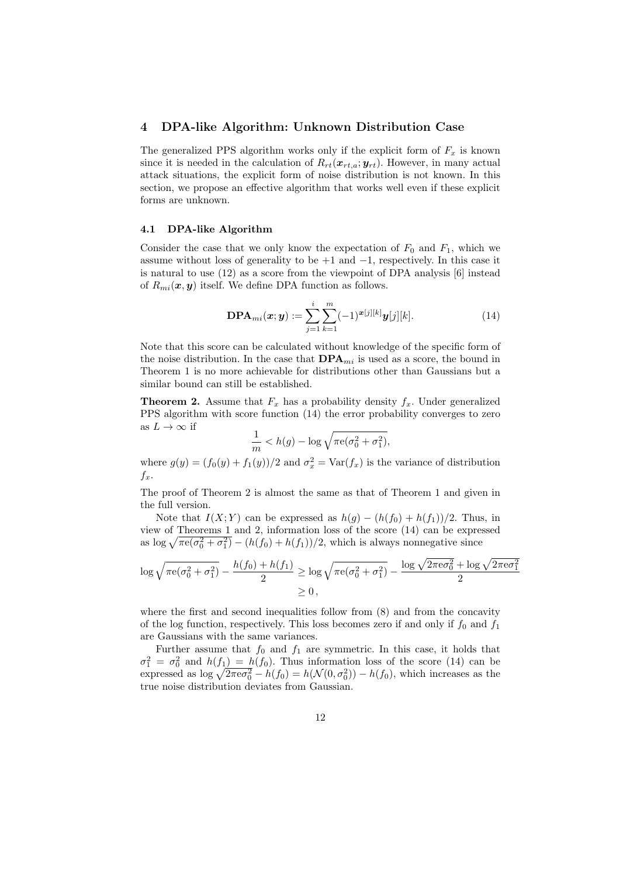### **4 DPA-like Algorithm: Unknown Distribution Case**

The generalized PPS algorithm works only if the explicit form of  $F_x$  is known since it is needed in the calculation of  $R_{rt}(x_{rt,a}; y_{rt})$ . However, in many actual attack situations, the explicit form of noise distribution is not known. In this section, we propose an effective algorithm that works well even if these explicit forms are unknown.

#### **4.1 DPA-like Algorithm**

Consider the case that we only know the expectation of  $F_0$  and  $F_1$ , which we assume without loss of generality to be +1 and *−*1, respectively. In this case it is natural to use (12) as a score from the viewpoint of DPA analysis [6] instead of  $R_{mi}(\boldsymbol{x}, \boldsymbol{y})$  itself. We define DPA function as follows.

$$
\mathbf{DPA}_{mi}(\boldsymbol{x};\boldsymbol{y}) := \sum_{j=1}^{i} \sum_{k=1}^{m} (-1)^{\boldsymbol{x}[j][k]} \boldsymbol{y}[j][k]. \tag{14}
$$

Note that this score can be calculated without knowledge of the specific form of the noise distribution. In the case that  $\text{DPA}_{mi}$  is used as a score, the bound in Theorem 1 is no more achievable for distributions other than Gaussians but a similar bound can still be established.

**Theorem 2.** Assume that  $F_x$  has a probability density  $f_x$ . Under generalized PPS algorithm with score function (14) the error probability converges to zero as  $L \to \infty$  if

$$
\frac{1}{m} < h(g) - \log \sqrt{\pi e(\sigma_0^2 + \sigma_1^2)},
$$

where  $g(y) = (f_0(y) + f_1(y))/2$  and  $\sigma_x^2 = \text{Var}(f_x)$  is the variance of distribution  $f_x$ .

The proof of Theorem 2 is almost the same as that of Theorem 1 and given in the full version.

Note that  $I(X; Y)$  can be expressed as  $h(g) - (h(f_0) + h(f_1))/2$ . Thus, in view of Theorems 1 and 2, information loss of the score (14) can be expressed as  $\log \sqrt{\pi e(\sigma_0^2 + \sigma_1^2)} - (h(f_0) + h(f_1))/2$ , which is always nonnegative since

$$
\log \sqrt{\pi e(\sigma_0^2 + \sigma_1^2)} - \frac{h(f_0) + h(f_1)}{2} \ge \log \sqrt{\pi e(\sigma_0^2 + \sigma_1^2)} - \frac{\log \sqrt{2\pi e \sigma_0^2} + \log \sqrt{2\pi e \sigma_1^2}}{2}
$$
  

$$
\ge 0,
$$

where the first and second inequalities follow from (8) and from the concavity of the log function, respectively. This loss becomes zero if and only if  $f_0$  and  $f_1$ are Gaussians with the same variances.

Further assume that  $f_0$  and  $f_1$  are symmetric. In this case, it holds that  $\sigma_1^2 = \sigma_0^2$  and  $h(f_1) = h(f_0)$ . Thus information loss of the score (14) can be expressed as  $\log \sqrt{2\pi \epsilon \sigma_0^2} - h(f_0) = h(\mathcal{N}(0, \sigma_0^2)) - h(f_0)$ , which increases as the true noise distribution deviates from Gaussian.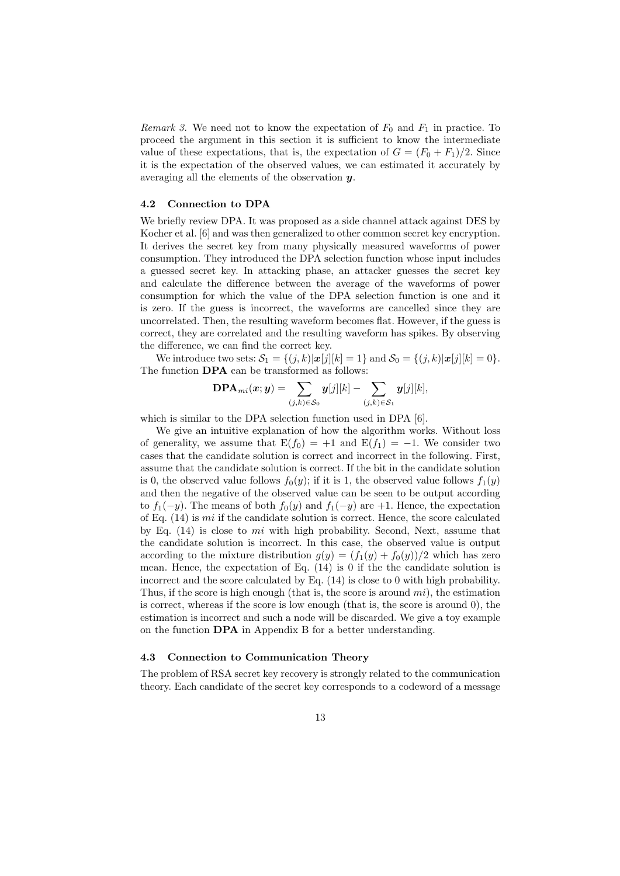*Remark 3.* We need not to know the expectation of  $F_0$  and  $F_1$  in practice. To proceed the argument in this section it is sufficient to know the intermediate value of these expectations, that is, the expectation of  $G = (F_0 + F_1)/2$ . Since it is the expectation of the observed values, we can estimated it accurately by averaging all the elements of the observation *y*.

#### **4.2 Connection to DPA**

We briefly review DPA. It was proposed as a side channel attack against DES by Kocher et al. [6] and was then generalized to other common secret key encryption. It derives the secret key from many physically measured waveforms of power consumption. They introduced the DPA selection function whose input includes a guessed secret key. In attacking phase, an attacker guesses the secret key and calculate the difference between the average of the waveforms of power consumption for which the value of the DPA selection function is one and it is zero. If the guess is incorrect, the waveforms are cancelled since they are uncorrelated. Then, the resulting waveform becomes flat. However, if the guess is correct, they are correlated and the resulting waveform has spikes. By observing the difference, we can find the correct key.

We introduce two sets:  $S_1 = \{(j,k)|\mathbf{x}[j]|k|=1\}$  and  $S_0 = \{(j,k)|\mathbf{x}[j]|k|=0\}$ . The function **DPA** can be transformed as follows:

$$
\textbf{DPA}_{mi}(\boldsymbol{x};\boldsymbol{y})=\sum_{(j,k)\in\mathcal{S}_0}\boldsymbol{y}[j][k]-\sum_{(j,k)\in\mathcal{S}_1}\boldsymbol{y}[j][k],
$$

which is similar to the DPA selection function used in DPA [6].

We give an intuitive explanation of how the algorithm works. Without loss of generality, we assume that  $E(f_0) = +1$  and  $E(f_1) = -1$ . We consider two cases that the candidate solution is correct and incorrect in the following. First, assume that the candidate solution is correct. If the bit in the candidate solution is 0, the observed value follows  $f_0(y)$ ; if it is 1, the observed value follows  $f_1(y)$ and then the negative of the observed value can be seen to be output according to  $f_1(-y)$ . The means of both  $f_0(y)$  and  $f_1(-y)$  are +1. Hence, the expectation of Eq. (14) is *mi* if the candidate solution is correct. Hence, the score calculated by Eq. (14) is close to *mi* with high probability. Second, Next, assume that the candidate solution is incorrect. In this case, the observed value is output according to the mixture distribution  $g(y) = (f_1(y) + f_0(y))/2$  which has zero mean. Hence, the expectation of Eq.  $(14)$  is 0 if the the candidate solution is incorrect and the score calculated by Eq. (14) is close to 0 with high probability. Thus, if the score is high enough (that is, the score is around *mi*), the estimation is correct, whereas if the score is low enough (that is, the score is around 0), the estimation is incorrect and such a node will be discarded. We give a toy example on the function **DPA** in Appendix B for a better understanding.

#### **4.3 Connection to Communication Theory**

The problem of RSA secret key recovery is strongly related to the communication theory. Each candidate of the secret key corresponds to a codeword of a message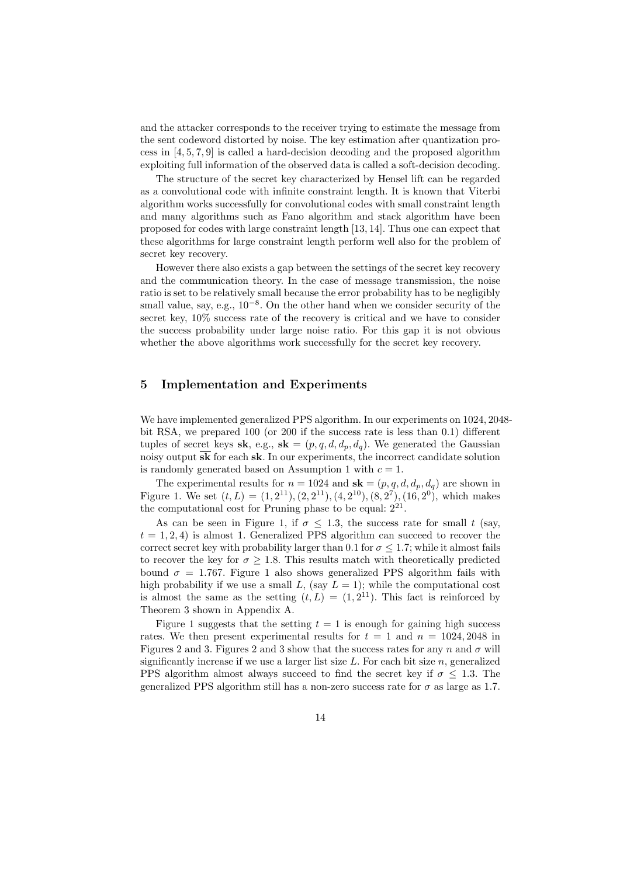and the attacker corresponds to the receiver trying to estimate the message from the sent codeword distorted by noise. The key estimation after quantization process in [4, 5, 7, 9] is called a hard-decision decoding and the proposed algorithm exploiting full information of the observed data is called a soft-decision decoding.

The structure of the secret key characterized by Hensel lift can be regarded as a convolutional code with infinite constraint length. It is known that Viterbi algorithm works successfully for convolutional codes with small constraint length and many algorithms such as Fano algorithm and stack algorithm have been proposed for codes with large constraint length [13, 14]. Thus one can expect that these algorithms for large constraint length perform well also for the problem of secret key recovery.

However there also exists a gap between the settings of the secret key recovery and the communication theory. In the case of message transmission, the noise ratio is set to be relatively small because the error probability has to be negligibly small value, say, e.g.,  $10^{-8}$ . On the other hand when we consider security of the secret key, 10% success rate of the recovery is critical and we have to consider the success probability under large noise ratio. For this gap it is not obvious whether the above algorithms work successfully for the secret key recovery.

### **5 Implementation and Experiments**

We have implemented generalized PPS algorithm. In our experiments on 1024*,* 2048 bit RSA, we prepared 100 (or 200 if the success rate is less than 0*.*1) different tuples of secret keys  $\mathbf{sk}$ , e.g.,  $\mathbf{sk} = (p, q, d, d_p, d_q)$ . We generated the Gaussian noisy output **sk** for each **sk**. In our experiments, the incorrect candidate solution is randomly generated based on Assumption 1 with  $c = 1$ .

The experimental results for  $n = 1024$  and  $sk = (p, q, d, d_p, d_q)$  are shown in Figure 1. We set  $(t, L) = (1, 2^{11}), (2, 2^{11}), (4, 2^{10}), (8, 2^{7}), (16, 2^{0}),$  which makes the computational cost for Pruning phase to be equal:  $2^{21}$ .

As can be seen in Figure 1, if  $\sigma \leq 1.3$ , the success rate for small t (say,  $t = 1, 2, 4$  is almost 1. Generalized PPS algorithm can succeed to recover the correct secret key with probability larger than 0.1 for  $\sigma \leq 1.7$ ; while it almost fails to recover the key for  $\sigma > 1.8$ . This results match with theoretically predicted bound  $\sigma = 1.767$ . Figure 1 also shows generalized PPS algorithm fails with high probability if we use a small  $L$ , (say  $L = 1$ ); while the computational cost is almost the same as the setting  $(t, L) = (1, 2<sup>11</sup>)$ . This fact is reinforced by Theorem 3 shown in Appendix A.

Figure 1 suggests that the setting  $t = 1$  is enough for gaining high success rates. We then present experimental results for  $t = 1$  and  $n = 1024, 2048$  in Figures 2 and 3. Figures 2 and 3 show that the success rates for any *n* and  $\sigma$  will significantly increase if we use a larger list size *L*. For each bit size *n*, generalized PPS algorithm almost always succeed to find the secret key if  $\sigma$  < 1.3. The generalized PPS algorithm still has a non-zero success rate for  $\sigma$  as large as 1.7.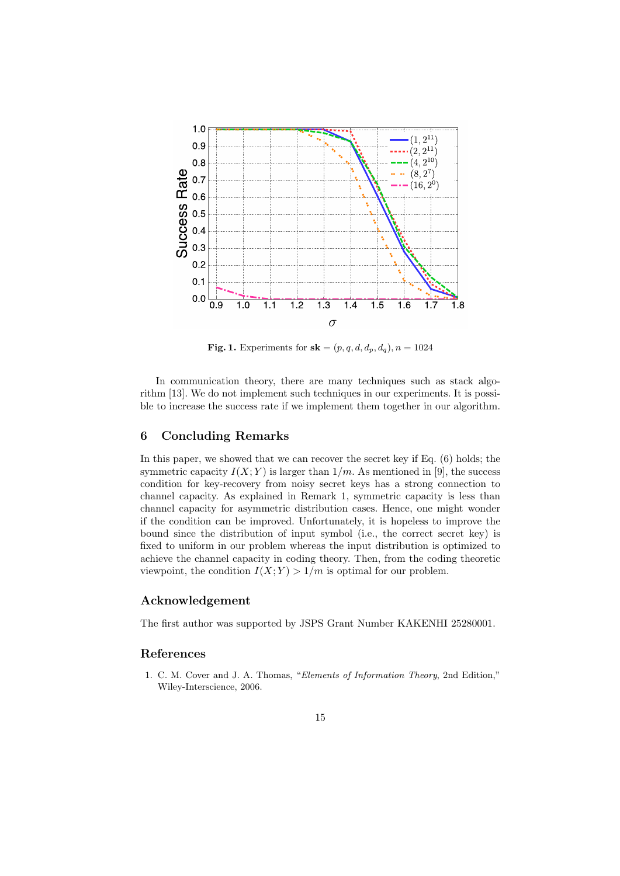

**Fig. 1.** Experiments for  $s\mathbf{k} = (p, q, d, d_p, d_q), n = 1024$ 

In communication theory, there are many techniques such as stack algorithm [13]. We do not implement such techniques in our experiments. It is possible to increase the success rate if we implement them together in our algorithm.

### **6 Concluding Remarks**

In this paper, we showed that we can recover the secret key if Eq. (6) holds; the symmetric capacity  $I(X; Y)$  is larger than  $1/m$ . As mentioned in [9], the success condition for key-recovery from noisy secret keys has a strong connection to channel capacity. As explained in Remark 1, symmetric capacity is less than channel capacity for asymmetric distribution cases. Hence, one might wonder if the condition can be improved. Unfortunately, it is hopeless to improve the bound since the distribution of input symbol (i.e., the correct secret key) is fixed to uniform in our problem whereas the input distribution is optimized to achieve the channel capacity in coding theory. Then, from the coding theoretic viewpoint, the condition  $I(X; Y) > 1/m$  is optimal for our problem.

### **Acknowledgement**

The first author was supported by JSPS Grant Number KAKENHI 25280001.

### **References**

1. C. M. Cover and J. A. Thomas, "*Elements of Information Theory*, 2nd Edition," Wiley-Interscience, 2006.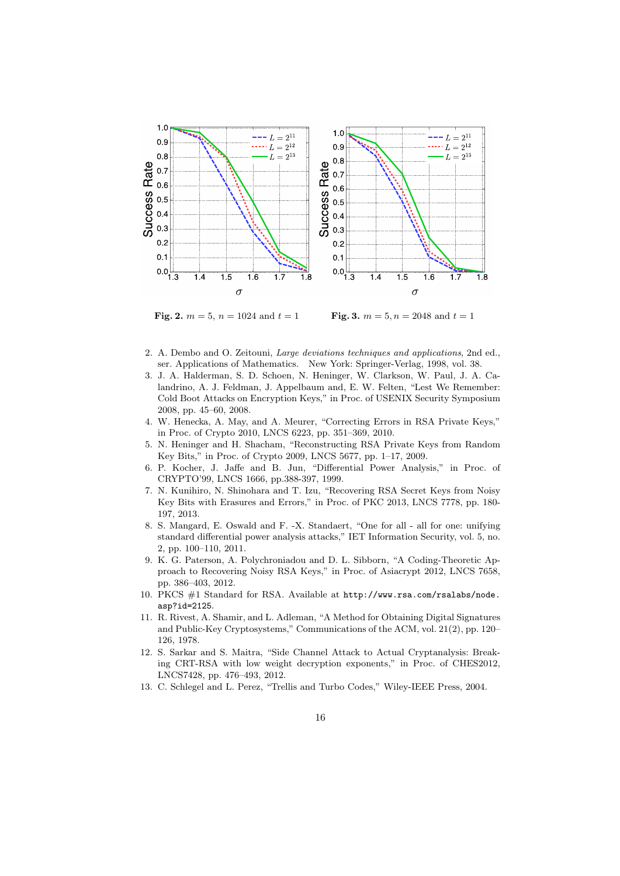

**Fig. 2.**  $m = 5$ ,  $n = 1024$  and  $t = 1$  **Fig. 3.**  $m = 5$ ,  $n = 2048$  and  $t = 1$ 

- 2. A. Dembo and O. Zeitouni, *Large deviations techniques and applications*, 2nd ed., ser. Applications of Mathematics. New York: Springer-Verlag, 1998, vol. 38.
- 3. J. A. Halderman, S. D. Schoen, N. Heninger, W. Clarkson, W. Paul, J. A. Calandrino, A. J. Feldman, J. Appelbaum and, E. W. Felten, "Lest We Remember: Cold Boot Attacks on Encryption Keys," in Proc. of USENIX Security Symposium 2008, pp. 45–60, 2008.
- 4. W. Henecka, A. May, and A. Meurer, "Correcting Errors in RSA Private Keys," in Proc. of Crypto 2010, LNCS 6223, pp. 351–369, 2010.
- 5. N. Heninger and H. Shacham, "Reconstructing RSA Private Keys from Random Key Bits," in Proc. of Crypto 2009, LNCS 5677, pp. 1–17, 2009.
- 6. P. Kocher, J. Jaffe and B. Jun, "Differential Power Analysis," in Proc. of CRYPTO'99, LNCS 1666, pp.388-397, 1999.
- 7. N. Kunihiro, N. Shinohara and T. Izu, "Recovering RSA Secret Keys from Noisy Key Bits with Erasures and Errors," in Proc. of PKC 2013, LNCS 7778, pp. 180- 197, 2013.
- 8. S. Mangard, E. Oswald and F. -X. Standaert, "One for all all for one: unifying standard differential power analysis attacks," IET Information Security, vol. 5, no. 2, pp. 100–110, 2011.
- 9. K. G. Paterson, A. Polychroniadou and D. L. Sibborn, "A Coding-Theoretic Approach to Recovering Noisy RSA Keys," in Proc. of Asiacrypt 2012, LNCS 7658, pp. 386–403, 2012.
- 10. PKCS #1 Standard for RSA. Available at http://www.rsa.com/rsalabs/node. asp?id=2125.
- 11. R. Rivest, A. Shamir, and L. Adleman, "A Method for Obtaining Digital Signatures and Public-Key Cryptosystems," Communications of the ACM, vol. 21(2), pp. 120– 126, 1978.
- 12. S. Sarkar and S. Maitra, "Side Channel Attack to Actual Cryptanalysis: Breaking CRT-RSA with low weight decryption exponents," in Proc. of CHES2012, LNCS7428, pp. 476–493, 2012.
- 13. C. Schlegel and L. Perez, "Trellis and Turbo Codes," Wiley-IEEE Press, 2004.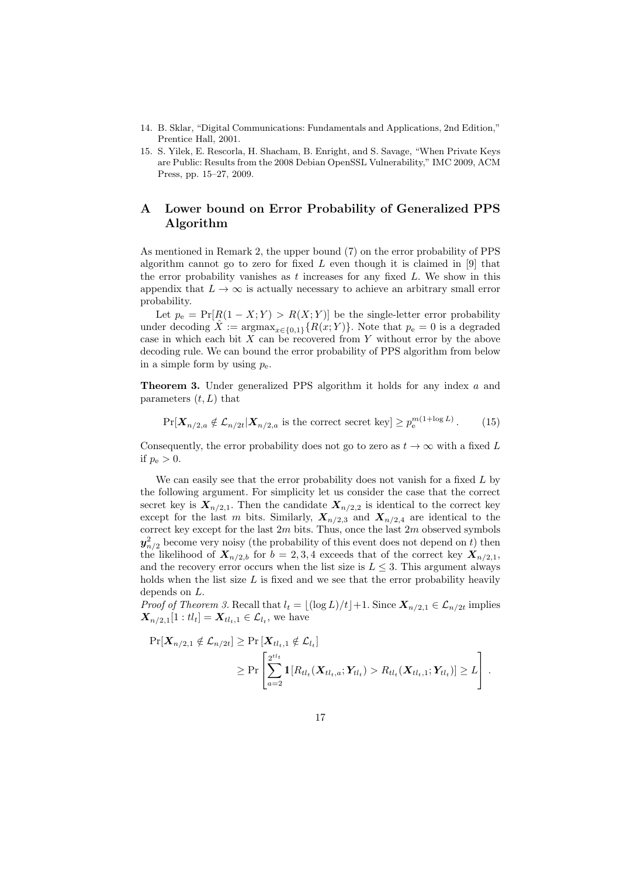- 14. B. Sklar, "Digital Communications: Fundamentals and Applications, 2nd Edition," Prentice Hall, 2001.
- 15. S. Yilek, E. Rescorla, H. Shacham, B. Enright, and S. Savage, "When Private Keys are Public: Results from the 2008 Debian OpenSSL Vulnerability," IMC 2009, ACM Press, pp. 15–27, 2009.

## **A Lower bound on Error Probability of Generalized PPS Algorithm**

As mentioned in Remark 2, the upper bound (7) on the error probability of PPS algorithm cannot go to zero for fixed *L* even though it is claimed in [9] that the error probability vanishes as *t* increases for any fixed *L*. We show in this appendix that  $L \to \infty$  is actually necessary to achieve an arbitrary small error probability.

Let  $p_e = \Pr[R(1 - X; Y) > R(X; Y)]$  be the single-letter error probability under decoding  $\hat{X} := \operatorname{argmax}_{x \in \{0,1\}} \{R(x;Y)\}\.$  Note that  $p_e = 0$  is a degraded case in which each bit *X* can be recovered from *Y* without error by the above decoding rule. We can bound the error probability of PPS algorithm from below in a simple form by using  $p_e$ .

**Theorem 3.** Under generalized PPS algorithm it holds for any index *a* and parameters (*t, L*) that

$$
\Pr[\mathbf{X}_{n/2,a} \notin \mathcal{L}_{n/2t} | \mathbf{X}_{n/2,a} \text{ is the correct secret key}] \ge p_e^{m(1+\log L)}.
$$
 (15)

Consequently, the error probability does not go to zero as  $t \to \infty$  with a fixed L if  $p_e > 0$ .

We can easily see that the error probability does not vanish for a fixed *L* by the following argument. For simplicity let us consider the case that the correct secret key is  $X_{n/2,1}$ . Then the candidate  $X_{n/2,2}$  is identical to the correct key except for the last *m* bits. Similarly,  $X_{n/2,3}$  and  $X_{n/2,4}$  are identical to the correct key except for the last 2*m* bits. Thus, once the last 2*m* observed symbols  $y_{n/2}^2$  become very noisy (the probability of this event does not depend on *t*) then the likelihood of  $\mathbf{X}_{n/2,b}$  for  $b=2,3,4$  exceeds that of the correct key  $\mathbf{X}_{n/2,1}$ , and the recovery error occurs when the list size is  $L \leq 3$ . This argument always holds when the list size *L* is fixed and we see that the error probability heavily depends on *L*.

*Proof of Theorem 3.* Recall that  $l_t = \lfloor (\log L)/t \rfloor + 1$ . Since  $\mathbf{X}_{n/2,1} \in \mathcal{L}_{n/2t}$  implies  $X_{n/2,1}[1:tl_t] = X_{tl_t,1} \in \mathcal{L}_{l_t}$ , we have

$$
\Pr[\mathbf{X}_{n/2,1} \notin \mathcal{L}_{n/2t}] \ge \Pr\left[\mathbf{X}_{tl_t,1} \notin \mathcal{L}_{l_t}\right] \\
\ge \Pr\left[\sum_{a=2}^{2^{tl_t}} \mathbf{1}[R_{tl_t}(\mathbf{X}_{tl_t,a}; \mathbf{Y}_{tl_t}) > R_{tl_t}(\mathbf{X}_{tl_t,1}; \mathbf{Y}_{tl_t})] \ge L\right].
$$